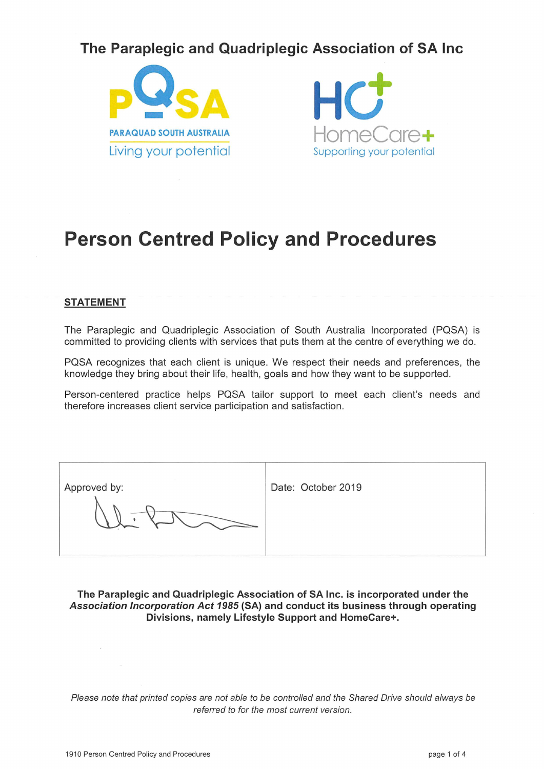## The Paraplegic and Quadriplegic Association of SA Inc





# **Person Centred Policy and Procedures**

#### **STATEMENT**

The Paraplegic and Quadriplegic Association of South Australia Incorporated (PQSA) is committed to providing clients with services that puts them at the centre of everything we do.

PQSA recognizes that each client is unique. We respect their needs and preferences, the knowledge they bring about their life, health, goals and how they want to be supported.

Person-centered practice helps PQSA tailor support to meet each client's needs and therefore increases client service participation and satisfaction.

| Approved by: | Date: October 2019 |
|--------------|--------------------|
|              |                    |

The Paraplegic and Quadriplegic Association of SA Inc. is incorporated under the Association Incorporation Act 1985 (SA) and conduct its business through operating Divisions, namely Lifestyle Support and HomeCare+.

Please note that printed copies are not able to be controlled and the Shared Drive should always be referred to for the most current version.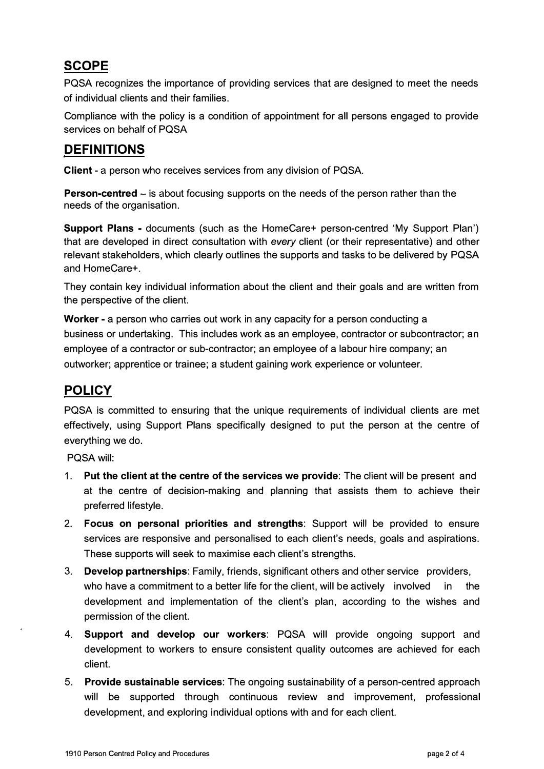## **SCOPE**

POSA recognizes the importance of providing services that are designed to meet the needs of individual clients and their families.

Compliance with the policy is a condition of appointment for all persons engaged to provide services on behalf of POSA

#### **DEFINITIONS**

**Client** - a person who receives services from any division of POSA.

**Person-centred** – is about focusing supports on the needs of the person rather than the needs of the organisation.

**Support Plans** - documents (such as the HomeCare+ person-centred 'My Support Plan') that are developed in direct consultation with *every* client (or their representative) and other relevant stakeholders, which clearly outlines the supports and tasks to be delivered by POSA and HomeCare+.

They contain key individual information about the client and their goals and are written from the perspective of the client.

**Worker** - a person who carries out work in any capacity for a person conducting a business or undertaking. This includes work as an employee, contractor or subcontractor; an employee of a contractor or sub-contractor; an employee of a labour hire company; an outworker; apprentice or trainee; a student gaining work experience or volunteer.

### **POLICY**

POSA is committed to ensuring that the unique requirements of individual clients are met effectively, using Support Plans specifically designed to put the person at the centre of everything we do.

POSA will:

- 1. **Put the client at the centre of the services we provide:** The client will be present and at the centre of decision-making and planning that assists them to achieve their preferred lifestyle.
- 2. **Focus on personal priorities and strengths:** Support will be provided to ensure services are responsive and personalised to each client's needs, goals and aspirations. These supports will seek to maximise each client's strengths.
- 3. **Develop partnerships:** Family, friends, significant others and other service providers, who have a commitment to a better life for the client, will be actively involved in the development and implementation of the client's plan, according to the wishes and permission of the client.
- 4. **Support and develop our workers:** POSA will provide ongoing support and development to workers to ensure consistent quality outcomes are achieved for each client.
- 5. **Provide sustainable services:** The ongoing sustainability of a person-centred approach will be supported through continuous review and improvement, professional development, and exploring individual options with and for each client.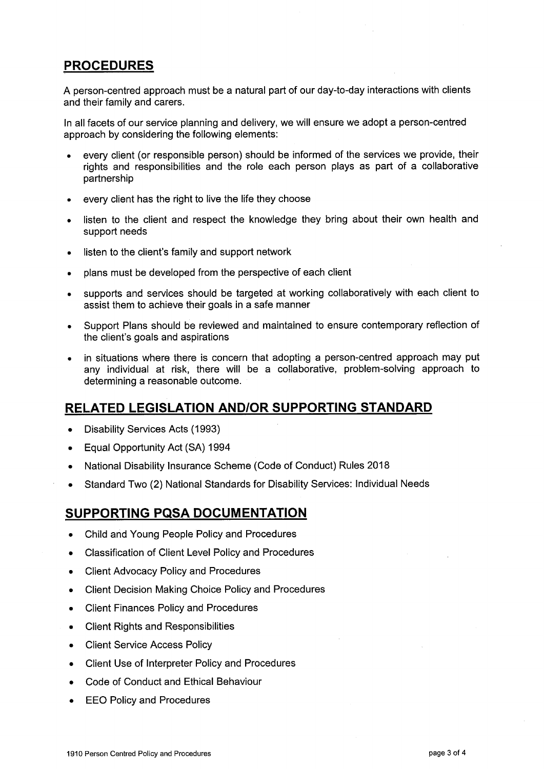#### **PROCEDURES**

A person-centred approach must be a natural part of our day-to-day interactions with clients and their family and carers.

In all facets of our service planning and delivery, we will ensure we adopt a person-centred approach by considering the following elements:

- every client (or responsible person) should be informed of the services we provide, their rights and responsibilities and the role each person plays as part of a collaborative partnership
- every client has the right to live the life they choose
- listen to the client and respect the knowledge they bring about their own health and support needs
- listen to the client's family and support network  $\bullet$
- plans must be developed from the perspective of each client  $\bullet$
- supports and services should be targeted at working collaboratively with each client to  $\bullet$ assist them to achieve their goals in a safe manner
- Support Plans should be reviewed and maintained to ensure contemporary reflection of  $\bullet$ the client's goals and aspirations
- in situations where there is concern that adopting a person-centred approach may put any individual at risk, there will be a collaborative, problem-solving approach to determining a reasonable outcome.

#### RELATED LEGISLATION AND/OR SUPPORTING STANDARD

- Disability Services Acts (1993)  $\bullet$
- Equal Opportunity Act (SA) 1994  $\bullet$
- National Disability Insurance Scheme (Code of Conduct) Rules 2018  $\bullet$
- Standard Two (2) National Standards for Disability Services: Individual Needs  $\bullet$

#### **SUPPORTING PQSA DOCUMENTATION**

- Child and Young People Policy and Procedures  $\bullet$
- Classification of Client Level Policy and Procedures  $\bullet$
- $\bullet$ **Client Advocacy Policy and Procedures**
- **Client Decision Making Choice Policy and Procedures**  $\bullet$
- **Client Finances Policy and Procedures**  $\bullet$
- **Client Rights and Responsibilities**  $\blacksquare$
- **Client Service Access Policy**  $\bullet$
- Client Use of Interpreter Policy and Procedures  $\bullet$
- Code of Conduct and Ethical Behaviour
- **EEO Policy and Procedures**